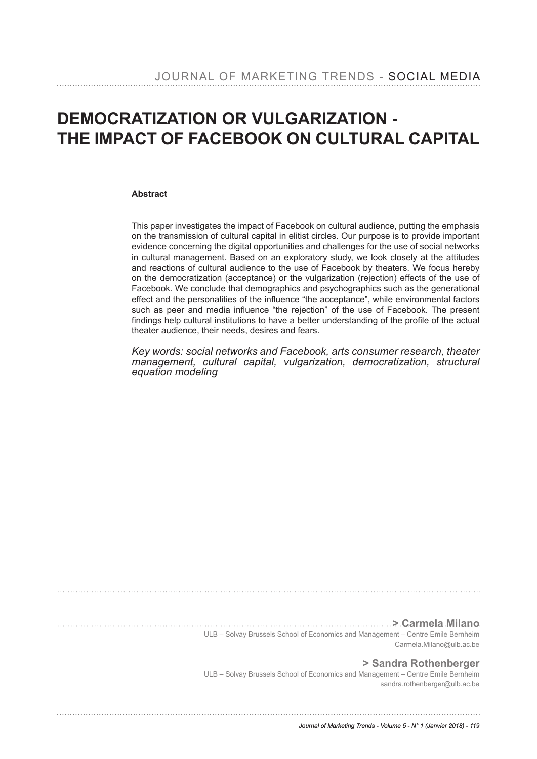# **DEMOCRATIZATION OR VULGARIZATION - THE IMPACT OF FACEBOOK ON CULTURAL CAPITAL**

#### **Abstract**

This paper investigates the impact of Facebook on cultural audience, putting the emphasis on the transmission of cultural capital in elitist circles. Our purpose is to provide important evidence concerning the digital opportunities and challenges for the use of social networks in cultural management. Based on an exploratory study, we look closely at the attitudes and reactions of cultural audience to the use of Facebook by theaters. We focus hereby on the democratization (acceptance) or the vulgarization (rejection) effects of the use of Facebook. We conclude that demographics and psychographics such as the generational effect and the personalities of the infuence "the acceptance", while environmental factors such as peer and media infuence "the rejection" of the use of Facebook. The present fndings help cultural institutions to have a better understanding of the profle of the actual theater audience, their needs, desires and fears.

*Key words: social networks and Facebook, arts consumer research, theater management, cultural capital, vulgarization, democratization, structural equation modeling*

**> Carmela Milano**

ULB – Solvay Brussels School of Economics and Management – Centre Emile Bernheim Carmela.Milano@ulb.ac.be

**> Sandra Rothenberger**

ULB – Solvay Brussels School of Economics and Management – Centre Emile Bernheim sandra.rothenberger@ulb.ac.be

*Journal of Marketing Trends - Volume 5 - N° 1 (Janvier 2018) - 119*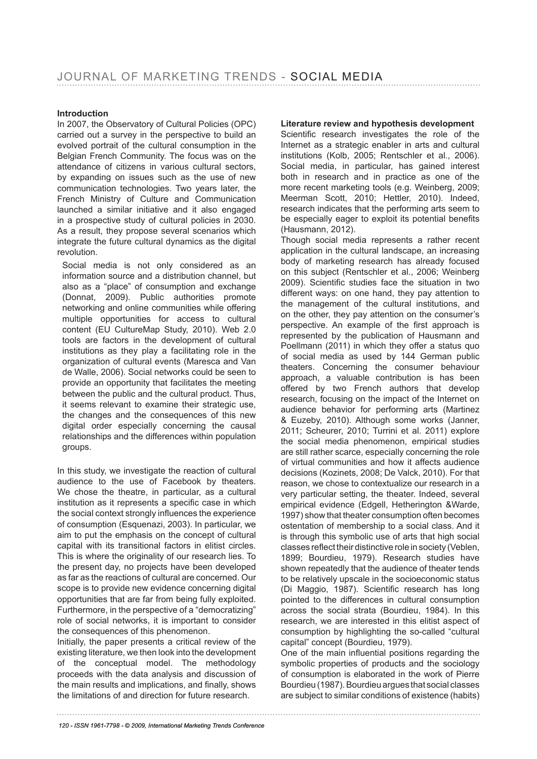#### **Introduction**

In 2007, the Observatory of Cultural Policies (OPC) carried out a survey in the perspective to build an evolved portrait of the cultural consumption in the Belgian French Community. The focus was on the attendance of citizens in various cultural sectors, by expanding on issues such as the use of new communication technologies. Two years later, the French Ministry of Culture and Communication launched a similar initiative and it also engaged in a prospective study of cultural policies in 2030. As a result, they propose several scenarios which integrate the future cultural dynamics as the digital revolution.

Social media is not only considered as an information source and a distribution channel, but also as a "place" of consumption and exchange (Donnat, 2009). Public authorities promote networking and online communities while offering multiple opportunities for access to cultural content (EU CultureMap Study, 2010). Web 2.0 tools are factors in the development of cultural institutions as they play a facilitating role in the organization of cultural events (Maresca and Van de Walle, 2006). Social networks could be seen to provide an opportunity that facilitates the meeting between the public and the cultural product. Thus, it seems relevant to examine their strategic use, the changes and the consequences of this new digital order especially concerning the causal relationships and the differences within population groups.

In this study, we investigate the reaction of cultural audience to the use of Facebook by theaters. We chose the theatre, in particular, as a cultural institution as it represents a specific case in which the social context strongly infuences the experience of consumption (Esquenazi, 2003). In particular, we aim to put the emphasis on the concept of cultural capital with its transitional factors in elitist circles. This is where the originality of our research lies. To the present day, no projects have been developed as far as the reactions of cultural are concerned. Our scope is to provide new evidence concerning digital opportunities that are far from being fully exploited. Furthermore, in the perspective of a "democratizing" role of social networks, it is important to consider the consequences of this phenomenon.

Initially, the paper presents a critical review of the existing literature, we then look into the development of the conceptual model. The methodology proceeds with the data analysis and discussion of the main results and implications, and finally, shows the limitations of and direction for future research.

#### **Literature review and hypothesis development**

Scientifc research investigates the role of the Internet as a strategic enabler in arts and cultural institutions (Kolb, 2005; Rentschler et al., 2006). Social media, in particular, has gained interest both in research and in practice as one of the more recent marketing tools (e.g. Weinberg, 2009; Meerman Scott, 2010; Hettler, 2010). Indeed, research indicates that the performing arts seem to be especially eager to exploit its potential benefits (Hausmann, 2012).

Though social media represents a rather recent application in the cultural landscape, an increasing body of marketing research has already focused on this subject (Rentschler et al., 2006; Weinberg 2009). Scientifc studies face the situation in two different ways: on one hand, they pay attention to the management of the cultural institutions, and on the other, they pay attention on the consumer's perspective. An example of the first approach is represented by the publication of Hausmann and Poellmann (2011) in which they offer a status quo of social media as used by 144 German public theaters. Concerning the consumer behaviour approach, a valuable contribution is has been offered by two French authors that develop research, focusing on the impact of the Internet on audience behavior for performing arts (Martinez & Euzeby, 2010). Although some works (Janner, 2011; Scheurer, 2010; Turrini et al. 2011) explore the social media phenomenon, empirical studies are still rather scarce, especially concerning the role of virtual communities and how it affects audience decisions (Kozinets, 2008; De Valck, 2010). For that reason, we chose to contextualize our research in a very particular setting, the theater. Indeed, several empirical evidence (Edgell, Hetherington &Warde, 1997) show that theater consumption often becomes ostentation of membership to a social class. And it is through this symbolic use of arts that high social classes refect their distinctive role in society (Veblen, 1899; Bourdieu, 1979). Research studies have shown repeatedly that the audience of theater tends to be relatively upscale in the socioeconomic status (Di Maggio, 1987). Scientifc research has long pointed to the differences in cultural consumption across the social strata (Bourdieu, 1984). In this research, we are interested in this elitist aspect of consumption by highlighting the so-called "cultural capital" concept (Bourdieu, 1979).

One of the main infuential positions regarding the symbolic properties of products and the sociology of consumption is elaborated in the work of Pierre Bourdieu (1987). Bourdieu argues that social classes are subject to similar conditions of existence (habits)

*120 - ISSN 1961-7798 - © 2009, International Marketing Trends Conference*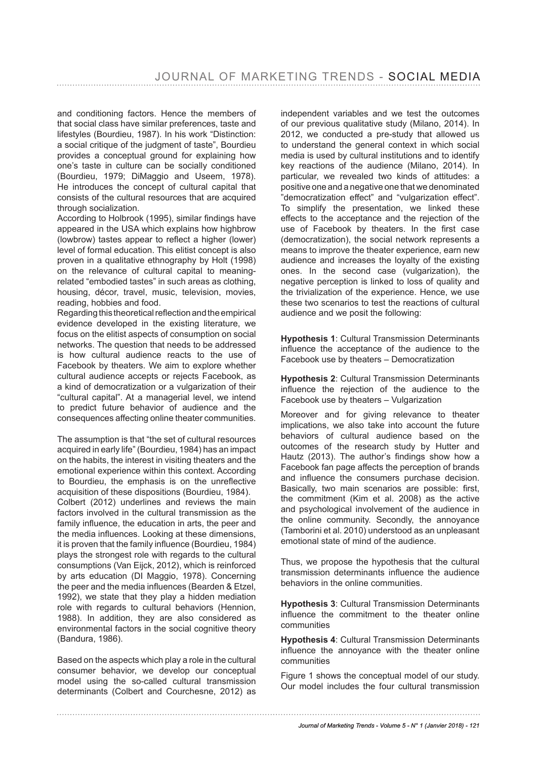and conditioning factors. Hence the members of that social class have similar preferences, taste and lifestyles (Bourdieu, 1987). In his work "Distinction: a social critique of the judgment of taste", Bourdieu provides a conceptual ground for explaining how one's taste in culture can be socially conditioned (Bourdieu, 1979; DiMaggio and Useem, 1978). He introduces the concept of cultural capital that consists of the cultural resources that are acquired through socialization.

According to Holbrook (1995), similar findings have appeared in the USA which explains how highbrow (lowbrow) tastes appear to refect a higher (lower) level of formal education. This elitist concept is also proven in a qualitative ethnography by Holt (1998) on the relevance of cultural capital to meaningrelated "embodied tastes" in such areas as clothing, housing, décor, travel, music, television, movies, reading, hobbies and food.

Regarding this theoretical refection and the empirical evidence developed in the existing literature, we focus on the elitist aspects of consumption on social networks. The question that needs to be addressed is how cultural audience reacts to the use of Facebook by theaters. We aim to explore whether cultural audience accepts or rejects Facebook, as a kind of democratization or a vulgarization of their "cultural capital". At a managerial level, we intend to predict future behavior of audience and the consequences affecting online theater communities.

The assumption is that "the set of cultural resources acquired in early life" (Bourdieu, 1984) has an impact on the habits, the interest in visiting theaters and the emotional experience within this context. According to Bourdieu, the emphasis is on the unrefective acquisition of these dispositions (Bourdieu, 1984). Colbert (2012) underlines and reviews the main factors involved in the cultural transmission as the family infuence, the education in arts, the peer and the media infuences. Looking at these dimensions, it is proven that the family infuence (Bourdieu, 1984) plays the strongest role with regards to the cultural consumptions (Van Eijck, 2012), which is reinforced by arts education (DI Maggio, 1978). Concerning the peer and the media infuences (Bearden & Etzel, 1992), we state that they play a hidden mediation role with regards to cultural behaviors (Hennion, 1988). In addition, they are also considered as environmental factors in the social cognitive theory (Bandura, 1986).

Based on the aspects which play a role in the cultural consumer behavior, we develop our conceptual model using the so-called cultural transmission determinants (Colbert and Courchesne, 2012) as independent variables and we test the outcomes of our previous qualitative study (Milano, 2014). In 2012, we conducted a pre-study that allowed us to understand the general context in which social media is used by cultural institutions and to identify key reactions of the audience (Milano, 2014). In particular, we revealed two kinds of attitudes: a positive one and a negative one that we denominated "democratization effect" and "vulgarization effect". To simplify the presentation, we linked these effects to the acceptance and the rejection of the use of Facebook by theaters. In the first case (democratization), the social network represents a means to improve the theater experience, earn new audience and increases the loyalty of the existing ones. In the second case (vulgarization), the negative perception is linked to loss of quality and the trivialization of the experience. Hence, we use these two scenarios to test the reactions of cultural audience and we posit the following:

**Hypothesis 1**: Cultural Transmission Determinants infuence the acceptance of the audience to the Facebook use by theaters – Democratization

**Hypothesis 2**: Cultural Transmission Determinants infuence the rejection of the audience to the Facebook use by theaters – Vulgarization

Moreover and for giving relevance to theater implications, we also take into account the future behaviors of cultural audience based on the outcomes of the research study by Hutter and Hautz (2013). The author's findings show how a Facebook fan page affects the perception of brands and infuence the consumers purchase decision. Basically, two main scenarios are possible: first, the commitment (Kim et al. 2008) as the active and psychological involvement of the audience in the online community. Secondly, the annoyance (Tamborini et al. 2010) understood as an unpleasant emotional state of mind of the audience.

Thus, we propose the hypothesis that the cultural transmission determinants infuence the audience behaviors in the online communities.

**Hypothesis 3**: Cultural Transmission Determinants infuence the commitment to the theater online communities

**Hypothesis 4**: Cultural Transmission Determinants infuence the annoyance with the theater online communities

Figure 1 shows the conceptual model of our study. Our model includes the four cultural transmission

#### *Journal of Marketing Trends - Volume 5 - N° 1 (Janvier 2018) - 121*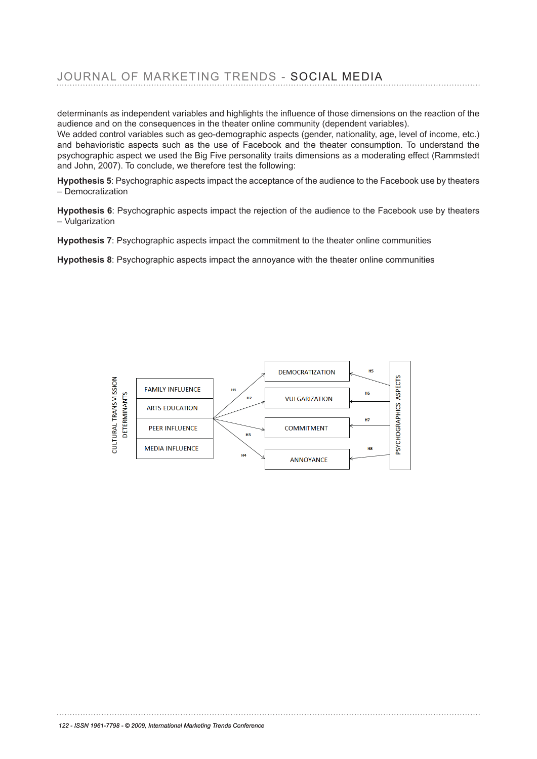determinants as independent variables and highlights the infuence of those dimensions on the reaction of the audience and on the consequences in the theater online community (dependent variables).

We added control variables such as geo-demographic aspects (gender, nationality, age, level of income, etc.) and behavioristic aspects such as the use of Facebook and the theater consumption. To understand the psychographic aspect we used the Big Five personality traits dimensions as a moderating effect (Rammstedt and John, 2007). To conclude, we therefore test the following:

**Hypothesis 5**: Psychographic aspects impact the acceptance of the audience to the Facebook use by theaters – Democratization

**Hypothesis 6**: Psychographic aspects impact the rejection of the audience to the Facebook use by theaters – Vulgarization

**Hypothesis 7**: Psychographic aspects impact the commitment to the theater online communities

Hypothesis 8: Psychographic aspects impact the annoyance with the theater online communities

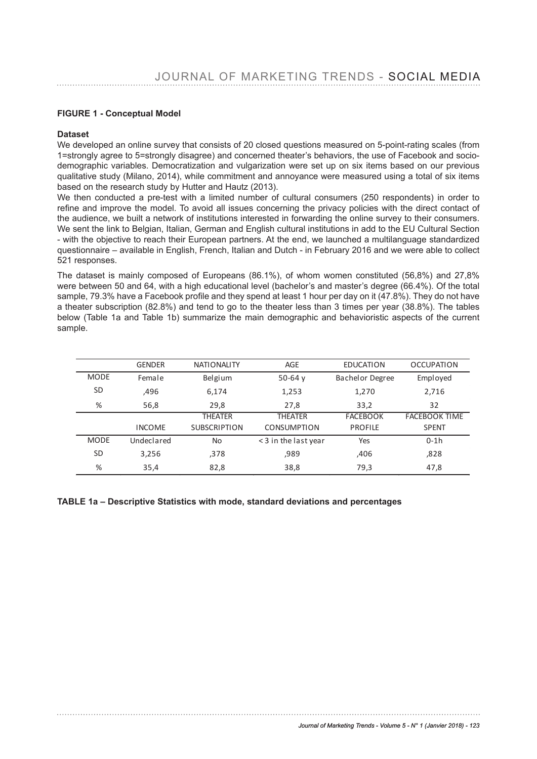#### **FIGURE 1 - Conceptual Model**

#### **Dataset**

We developed an online survey that consists of 20 closed questions measured on 5-point-rating scales (from 1=strongly agree to 5=strongly disagree) and concerned theater's behaviors, the use of Facebook and socio-T=strongly agree to 5=strongly disagree) and concerned trieater siberiaviors, the use of Facebook and socio-<br>demographic variables. Democratization and vulgarization were set up on six items based on our previous qualitative study (Milano, 2014), while commitment and annoyance were measured using a total of six items parameters study (million, 2011), million commitment and dame junes instead from dening a tell of one here.<br>based on the research study by Hutter and Hautz (2013).

We then conducted a pre-test with a limited number of cultural consumers (250 respondents) in order to refine and improve the model. To avoid all issues concerning the privacy policies with the direct contact of the audience, we built a network of institutions interested in forwarding the online survey to their consumers. We sent the link to Belgian, Italian, German and English cultural institutions in add to the EU Cultural Section (1999) - with the objective to reach their European partners. At the end, we launched a multilanguage standardized questionnaire – available in English, French, Italian and Dutch - in February 2016 and we were able to collect<br>521 responses 521 responses.

The dataset is mainly composed of Europeans (86.1%), of whom women constituted (56,8%) and 27,8% The dataset is mainly composed of Edropeans (60.1%), or wholl women consituted (56,6%) and 27,6%<br>were between 50 and 64, with a high educational level (bachelor's and master's degree (66.4%). Of the total sample, 79.3% have a Facebook profle and they spend at least 1 hour per day on it (47.8%). They do not have a theater subscription  $(82.8%)$  and tend to go to the theater less than 3 times per year  $(38.8%)$ . The tables below (Table 1a and Table 1b) summarize the main demographic and behavioristic aspects of the current sample.  $\alpha$  becomes of the current sample . The current sample sample  $\alpha$ 

|             | <b>GENDER</b> | <b>NATIONALITY</b>  | <b>AGE</b>           | <b>EDUCATION</b>       | <b>OCCUPATION</b>    |
|-------------|---------------|---------------------|----------------------|------------------------|----------------------|
| <b>MODE</b> | Female        | Belgium             | 50-64 $y$            | <b>Bachelor Degree</b> | Employed             |
| <b>SD</b>   | ,496          | 6,174               | 1,253                | 1,270                  | 2,716                |
| %           | 56,8          | 29,8                | 27,8                 | 33,2                   | 32                   |
|             |               | THEATER             | <b>THEATER</b>       | <b>FACEBOOK</b>        | <b>FACEBOOK TIME</b> |
|             | <b>INCOME</b> | <b>SUBSCRIPTION</b> | <b>CONSUMPTION</b>   | <b>PROFILE</b>         | <b>SPENT</b>         |
| <b>MODE</b> | Undeclared    | No                  | < 3 in the last year | Yes                    | $0-1h$               |
| <b>SD</b>   | 3,256         | ,378                | ,989                 | ,406                   | ,828                 |
| %           | 35,4          | 82,8                | 38,8                 | 79,3                   | 47,8                 |

#### **TABLE 1a – Descriptive Statistics with mode, standard deviations and percentages TABLE 1 a – De s c ript iv e St at is t ic s wit h m o de , s t andard de v iat io ns and**  LE 1a <mark>– Descri</mark>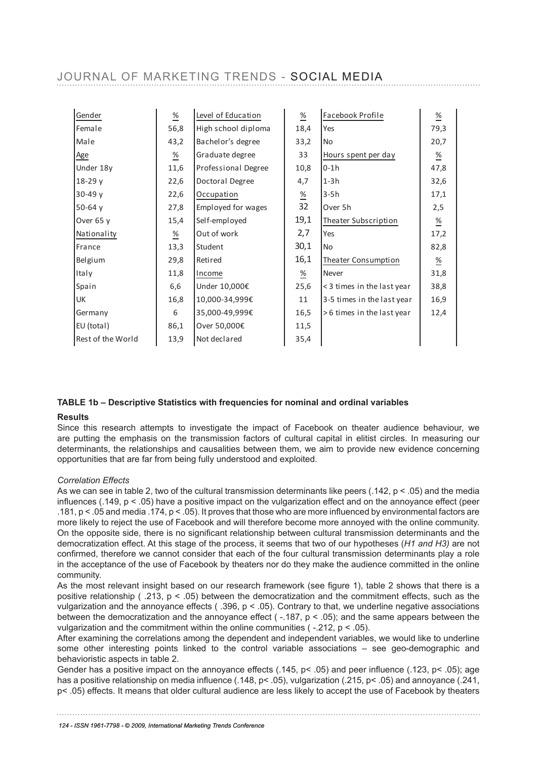| Gender            | $\frac{\%}{\phantom{0}}$ | Level of Education  | $\frac{\%}{\%}$          | Facebook Profile           | $\frac{\%}{\frac{1}{2}}$ |
|-------------------|--------------------------|---------------------|--------------------------|----------------------------|--------------------------|
| Female            | 56,8                     | High school diploma | 18,4                     | Yes                        | 79,3                     |
| Male              | 43,2                     | Bachelor's degree   | 33,2                     | No                         | 20,7                     |
| Age               | $\frac{\%}{\frac{1}{2}}$ | Graduate degree     | 33                       | Hours spent per day        | $\frac{\%}{\frac{1}{2}}$ |
| Under 18y         | 11,6                     | Professional Degree | 10,8                     | $0-1h$                     | 47,8                     |
| 18-29 y           | 22,6                     | Doctoral Degree     | 4,7                      | $1-3h$                     | 32,6                     |
| $30-49y$          | 22,6                     | Occupation          | $\frac{\%}{\%}$          | $3-5h$                     | 17,1                     |
| 50-64 $v$         | 27,8                     | Employed for wages  | 32                       | Over 5h                    | 2,5                      |
| Over 65 y         | 15,4                     | Self-employed       | 19,1                     | Theater Subscription       | $\frac{\%}{\frac{1}{2}}$ |
| Nationality       | $\frac{\%}{\phantom{0}}$ | Out of work         | 2,7                      | Yes                        | 17,2                     |
| France            | 13,3                     | Student             | 30,1                     | <b>No</b>                  | 82,8                     |
| Belgium           | 29,8                     | Retired             | 16,1                     | Theater Consumption        | $\frac{\%}{\frac{1}{2}}$ |
| Italy             | 11,8                     | Income              | $\frac{\%}{\frac{1}{2}}$ | Never                      | 31,8                     |
| Spain             | 6,6                      | Under 10,000€       | 25,6                     | < 3 times in the last year | 38,8                     |
| UK                | 16,8                     | 10,000-34,999€      | 11                       | 3-5 times in the last year | 16,9                     |
| Germany           | 6                        | 35,000-49,999€      | 16,5                     | >6 times in the last year  | 12,4                     |
| EU (total)        | 86,1                     | Over 50,000€        | 11,5                     |                            |                          |
| Rest of the World | 13,9                     | Not declared        | 35,4                     |                            |                          |

### **TABLE 1b – Descriptive Statistics with frequencies for nominal and ordinal variables Re s ult s**

#### **Results**

кеsuпs<br>Since this research attempts to investigate the impact of Facebook on theater audience behaviour, we are putting the emphasis on the transmission factors of cultural capital in elitist circles. In measuring our the paralysing the emphasis on the transmission ractors of calibrary explication choice in measuring our determinants, the relationships and causalities between them, we aim to provide new evidence concerning opportunities that are far from being fully understood and exploited.

#### *Correlation Effects*

As we can see in table 2, two of the cultural transmission determinants like peers (.142, p < .05) and the media infuences (.149, p < .05) have a positive impact on the vulgarization effect and on the annoyance effect (peer .181, p < .05 and media .174, p < .05). It proves that those who are more infuenced by environmental factors are nore likely to reject the use of Facebook and will therefore become more annoyed with the online community. On the opposite side, there is no signifcant relationship between cultural transmission determinants and the democratization effect. At this stage of the process, it seems that two of our hypotheses (H1 and H3) are not confrmed, therefore we cannot consider that each of the four cultural transmission determinants play a role in the acceptance of the use of Facebook by theaters nor do they make the audience committed in the online community.

As the most relevant insight based on our research framework (see fgure 1), table 2 shows that there is a As the most relevant insight based on our research namework (see lighte 1), table 2 shows that there is a<br>positive relationship ( .213, p < .05) between the democratization and the commitment effects, such as the vulgarization and the annoyance effects ( .396, p < .05). Contrary to that, we underline negative associations between the democratization and the annoyance effect (-.187,  $p < .05$ ); and the same appears between the vulgarization and the commitment within the online communities ( $-212$ ,  $p < 05$ ).

After examining the correlations among the dependent and independent variables, we would like to underline some other interesting points linked to the control variable associations – see geo-demographic and behavioristic aspects in table 2.

benavioristic aspects in table z.<br>Gender has a positive impact on the annoyance effects (.145, p< .05) and peer influence (.123, p< .05); age has a positive relationship on media infuence (.148, p< .05), vulgarization (.215, p< .05) and annoyance (.241,  $p<sub>1</sub>$ , p  $p<sub>2</sub>$ , p  $p<sub>2</sub>$ , p  $p<sub>3</sub>$ , p  $p<sub>4</sub>$ , p  $p<sub>5</sub>$ , p  $p<sub>6</sub>$ , p  $p<sub>7</sub>$ , p  $p<sub>8</sub>$ , p  $p<sub>9</sub>$  and annegates  $p<sub>7</sub>$ , p  $p<sub>8</sub>$ , p  $p<sub>9</sub>$  and annegates  $p<sub>6</sub>$ . The m

influenced by environment also are more likely the use of the use of the use of the use of the use of the use o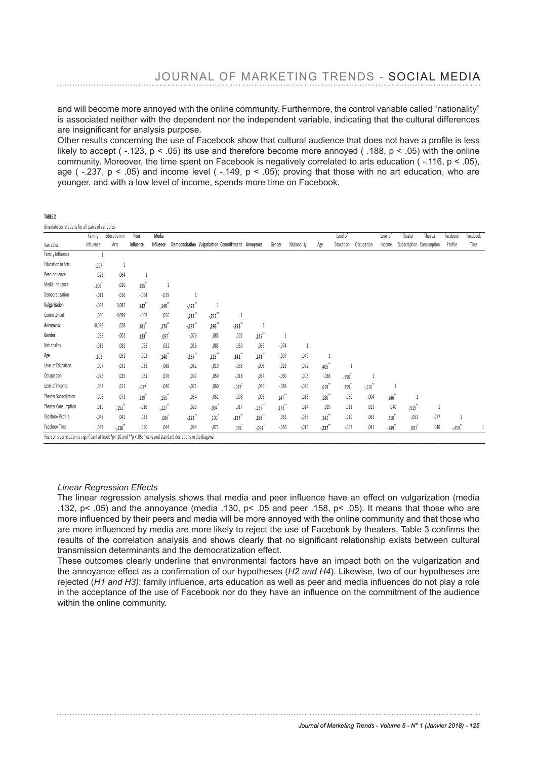and will become more annoyed with the online community. Furthermore, the control variable called "nationality" is associated neither with the dependent nor the independent variable, indicating that the cultural differences are insignifcant for analysis purpose.

Other results concerning the use of Facebook show that cultural audience that does not have a profle is less likely to accept ( $-123$ ,  $p < 05$ ) its use and therefore become more annoyed ( $188$ ,  $p < 05$ ) with the online community. Moreover, the time spent on Facebook is negatively correlated to arts education ( $-116$ , p < .05), age ( $-237$ , p < .05) and income level ( $-149$ , p < .05); proving that those with no art education, who are younger, and with a low level of income, spends more time on Facebook.

Bivariate correlations for all pairs of variables

|                                                                                                                     | Family     | Education in         | Peer                 | Media     |                                                     |          |                                |                              |          |             |                   | Level of               |            | Level of | Theater | Theater                  | Facebook  | Facebook |
|---------------------------------------------------------------------------------------------------------------------|------------|----------------------|----------------------|-----------|-----------------------------------------------------|----------|--------------------------------|------------------------------|----------|-------------|-------------------|------------------------|------------|----------|---------|--------------------------|-----------|----------|
| Variables                                                                                                           | Influence  | Arts                 | Influence            | Influence | Democratization Vulgarization Committment Annoyance |          |                                |                              | Gender   | Nationality | Age               | Education              | Occupation | Income   |         | Subscription Consumption | Profile   | Time     |
| Family Influence                                                                                                    |            |                      |                      |           |                                                     |          |                                |                              |          |             |                   |                        |            |          |         |                          |           |          |
| Education in Arts                                                                                                   | $-.097$    |                      |                      |           |                                                     |          |                                |                              |          |             |                   |                        |            |          |         |                          |           |          |
| Peer Influence                                                                                                      | ,023       | ,064                 |                      |           |                                                     |          |                                |                              |          |             |                   |                        |            |          |         |                          |           |          |
| Media Influence                                                                                                     | $-.206$ ** | $-0.020$             | $,185$ <sup>**</sup> | u         |                                                     |          |                                |                              |          |             |                   |                        |            |          |         |                          |           |          |
| Democratization                                                                                                     | $-011$     | $-0.016$             | $-064$               | $-0.019$  |                                                     |          |                                |                              |          |             |                   |                        |            |          |         |                          |           |          |
| Vulgarization                                                                                                       | $-0.023$   | 0,087                | ,142"                | ,149**    | $-423$                                              |          |                                |                              |          |             |                   |                        |            |          |         |                          |           |          |
| Committment                                                                                                         | ,080       | $-0,099$             | $-.067$              | ,056      | ,213"                                               | $-212$   | 1                              |                              |          |             |                   |                        |            |          |         |                          |           |          |
| Annoyance                                                                                                           | $-0,098$   | ,028                 | .181                 | .174      | $-.187$ <sup>**</sup>                               | .396"    | $-313"$                        | -1                           |          |             |                   |                        |            |          |         |                          |           |          |
| Gender                                                                                                              | ,038       | $-0.02$              | ,123"                | ,097      | $-0.076$                                            | ,085     | ,002                           | ,145**                       | 1        |             |                   |                        |            |          |         |                          |           |          |
| Nationality                                                                                                         | $-0.013$   | ,081                 | ,065                 | ,032      | ,016                                                | ,085     | $-.050$                        | ,036                         | $-0.074$ | 1           |                   |                        |            |          |         |                          |           |          |
| Age                                                                                                                 | $-.103$    | $-052$               | $-.002$              | ,148"     | $\cdot$ ,<br>167 $^{\ast\ast}$                      | ,215     | 28<br>$-141$                   | $\ddot{\phantom{1}}$<br>,241 | $-0.007$ | $-049$      | 1                 |                        |            |          |         |                          |           |          |
| Level of Education                                                                                                  | ,007       | $-0.031$             | $-.031$              | $-068$    | $-062$                                              | $-.019$  | $-0.035$                       | $-0.06$                      | $-0.023$ | ,032        | ,405**            |                        |            |          |         |                          |           |          |
| Occupation                                                                                                          | $-0.075$   | ,025                 | ,061                 | ,076      | ,007                                                | ,059     | $-0.018$                       | ,034                         | $-0.030$ | ,005        | $-0.036$          | $\textbf{--,390}^{**}$ | 1          |          |         |                          |           |          |
| Level of Income                                                                                                     | ,057       | ,011                 | $-.087$              | $-0.040$  | $-.071$                                             | ,060     | $-0.097$                       | ,043                         | $-0.086$ | $-0.020$    | ,619"             | ,359**                 | $-116$ **  |          |         |                          |           |          |
| Theater Subscription                                                                                                | ,006       | ,073                 | ,119"                | ,150**    | ,054                                                | $-051$   | $-0.008$                       | ,003                         | $,147$ " | $-013$      | $\cdot, 180^{**}$ | $-050$                 | $-.004$    | $-146$   |         |                          |           |          |
| Theater Consumption                                                                                                 | ,019       | $-152$               | $-.016$              | $-.227$   | ,023                                                | $-0.094$ | ,017                           | $-137$                       | $-173$   | ,014        | ,019              | ,011                   | ,013       | ,040     | $-519$  | 1                        |           |          |
| Facebook Profile                                                                                                    | $-048$     | ,041                 | ,032                 | ,086      | $-123$ <sup>*</sup>                                 | ,100     | $\cdot$ ,<br>117 $^{\ast\ast}$ | ,188"                        | ,051     | $-0.035$    | $,342$ **         | $-019$                 | ,063       | ,210     | $-051$  | $-0.077$                 | T         |          |
| Facebook Time                                                                                                       | ,033       | $-116$ <sup>**</sup> | ,050                 | ,044      | ,084                                                | $-071$   | ,099                           | $-0.091$                     | $-0.050$ | $-0.015$    | $-.237$ **        | $-053$                 | ,041       | $-149$   | ,087    | ,040                     | $-459$ ** | 1        |
| Pearson's correlation is significant at level: *p< .10 and **p < .05; means and standard deviations in the diagonal |            |                      |                      |           |                                                     |          |                                |                              |          |             |                   |                        |            |          |         |                          |           |          |

#### *Linear Regression Effects*

The linear regression analysis shows that media and peer infuence have an effect on vulgarization (media .132, p< .05) and the annoyance (media .130, p< .05 and peer .158, p< .05). It means that those who are more infuenced by their peers and media will be more annoyed with the online community and that those who are more infuenced by media are more likely to reject the use of Facebook by theaters. Table 3 confrms the results of the correlation analysis and shows clearly that no signifcant relationship exists between cultural transmission determinants and the democratization effect.

These outcomes clearly underline that environmental factors have an impact both on the vulgarization and the annoyance effect as a confrmation of our hypotheses (*H2 and H4*). Likewise, two of our hypotheses are rejected (*H1 and H3)*: family infuence, arts education as well as peer and media infuences do not play a role in the acceptance of the use of Facebook nor do they have an infuence on the commitment of the audience within the online community.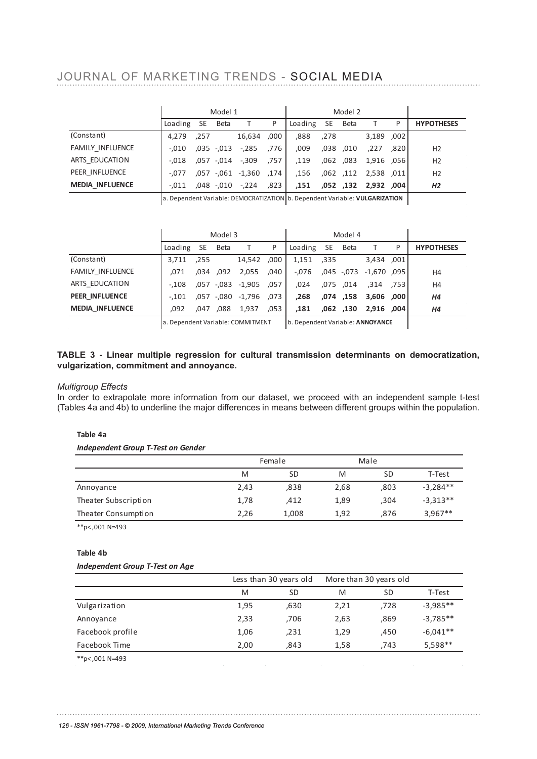### JOURNAL OF MARKETING TRENDS - SOCIAL MEDIA an influence on the committee on the committee with ment of the audience with the online community  $\alpha$

|                         |                 |      | Model 1 |                        |              |                 |      | Model 2   |                       |        |                   |
|-------------------------|-----------------|------|---------|------------------------|--------------|-----------------|------|-----------|-----------------------|--------|-------------------|
|                         | Loading SE Beta |      |         |                        | $\mathsf{P}$ | Loading SE Beta |      |           |                       | P      | <b>HYPOTHESES</b> |
| (Constant)              | 4.279           | .257 |         | 16,634,000             |              | .888            | .278 |           | 3,189, 002            |        |                   |
| <b>FAMILY INFLUENCE</b> | $-.010$         |      |         | ,035 -,013 -,285       | ا 776.       | .009            |      | ,038,010  | .227                  | ا 820. | H <sub>2</sub>    |
| ARTS EDUCATION          | -.018           |      |         | 757, 309,- 014,- 057,  |              | 119,            |      | ,062, 083 | 1,916,056             |        | H2                |
| PEER INFLUENCE          | $-.077$         |      |         | ,057 -,061 -1,360 .174 |              | .156            |      |           | ,062, 2,538 112, 062, |        | H <sub>2</sub>    |
| <b>MEDIA INFLUENCE</b>  | -.011           |      |         | ,048 -,010 -,224 ,823  |              | .151            |      |           | 004, 2,932 132, 052,  |        | H <sub>2</sub>    |
|                         |                 |      |         |                        |              |                 |      |           |                       |        |                   |

a. Dependent Variable: DEMOCRATIZATION b. Dependent Variable: **VULGARIZATION**

|                         |                                   |      | Model 3 |                   |      |                                  |      | Model 4    |              |        |                   |
|-------------------------|-----------------------------------|------|---------|-------------------|------|----------------------------------|------|------------|--------------|--------|-------------------|
|                         | Loading SE                        |      | Beta    |                   | P    | Loading                          | SE   | Beta       |              | P      | <b>HYPOTHESES</b> |
| (Constant)              | 3.711                             | .255 |         | 14,542            | .000 | 1,151                            | ,335 |            | 3,434,001    |        |                   |
| <b>FAMILY INFLUENCE</b> | .071                              | .034 | ,092    | 2,055             | .040 | $-.076$                          |      | ,045 -,073 | -1.670 .0951 |        | H <sub>4</sub>    |
| ARTS EDUCATION          | $-.108$                           | .057 | -,083   | -1,905            | .057 | .024                             |      | ,075,014   | ,314         | ا 753. | H <sub>4</sub>    |
| <b>PEER INFLUENCE</b>   | $-.101$                           |      |         | .057 -.080 -1,796 | .073 | .268                             |      | ,074, 158  | 000, 3,606   |        | <b>H4</b>         |
| <b>MEDIA INFLUENCE</b>  | .092                              | .047 | .088    | 1,937             | ,053 | .181                             |      | ,062, 062  | 004, 2,916   |        | Η4                |
|                         | a. Dependent Variable: COMMITMENT |      |         |                   |      | b. Dependent Variable: ANNOYANCE |      |            |              |        |                   |

#### **TABLE 3 - Linear multiple regression for cultural transmission determinants on democratization, vulgarization, commitment and annoyance.** and independent s ample t-t est (Tables 4 a and 4 b) to underline the major  $\mathcal{A}$

#### *Multigroup Effects*

In order to extrapolate more information from our dataset, we proceed with an independent sample t-test (Tables 4a and 4b) to underline the major differences in means between different groups within the population.

#### **Table 4a**

*Independent Group T-Test on Gender* 

|                      |      | Female    | Male |      |            |
|----------------------|------|-----------|------|------|------------|
|                      | M    | <b>SD</b> | M    | SD   | T-Test     |
| Annoyance            | 2,43 | ,838      | 2,68 | ,803 | $-3.284**$ |
| Theater Subscription | 1,78 | ,412      | 1,89 | ,304 | $-3,313**$ |
| Theater Consumption  | 2,26 | 1,008     | 1,92 | ,876 | $3,967**$  |

\*\*p< ,001 N=493

#### **Table 4b**

#### *Independent Group T-Test on Age*

|                  |      | Less than 30 years old |      | More than 30 years old |            |
|------------------|------|------------------------|------|------------------------|------------|
|                  | M    | SD                     | M    | SD                     | T-Test     |
| Vulgarization    | 1,95 | ,630                   | 2,21 | ,728                   | $-3,985**$ |
| Annoyance        | 2,33 | ,706                   | 2,63 | ,869                   | $-3,785**$ |
| Facebook profile | 1,06 | ,231                   | 1,29 | ,450                   | $-6,041**$ |
| Facebook Time    | 2,00 | .843                   | 1,58 | .743                   | 5,598**    |
| **p<,001 N=493   |      |                        |      |                        |            |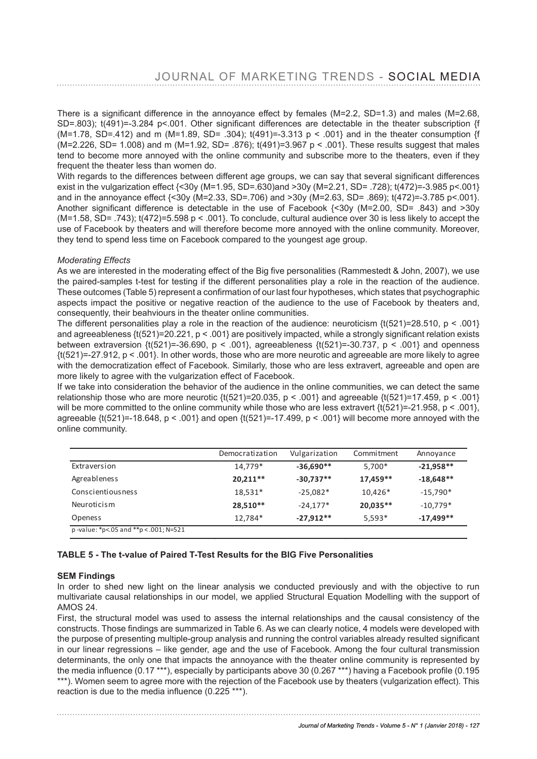There is a signifcant difference in the annoyance effect by females (M=2.2, SD=1.3) and males (M=2.68, SD=.803); t(491)=-3.284 p<.001. Other significant differences are detectable in the theater subscription {f (M=1.78, SD=.412) and m (M=1.89, SD= .304);  $t(491)=-3.313$  p < .001} and in the theater consumption {f (M=2.226, SD= 1.008) and m (M=1.92, SD= .876); t(491)=3.967 p < .001}. These results suggest that males tend to become more annoyed with the online community and subscribe more to the theaters, even if they frequent the theater less than women do. The more more interest who are more likely than  $\alpha$ 

With regards to the differences between different age groups, we can say that several signifcant differences exist in the vulgarization effect {<30y (M=1.95, SD=.630)and >30y (M=2.21, SD= .728); t(472)=-3.985 p<.001} and in the annoyance effect {<30y (M=2.33, SD=.706) and >30y (M=2.63, SD= .869); t(472)=-3.785 p<.001}. Another signifcant difference is detectable in the use of Facebook {<30y (M=2.00, SD= .843) and >30y Another significant difference is detectable in the use or Pacebook {Sovy (M-2.00, SD- .643) and 250y<br>(M=1.58, SD= .743); t(472)=5.598 p < .001}. To conclude, cultural audience over 30 is less likely to accept the use of Facebook by theaters and will therefore become more annoyed with the online community. Moreover, they tend to spend less time on Facebook compared to the youngest age group.

#### **If we there is a consideration of the audience intervals in the audience in the audience in the audience in the audience in the audience in the audience in the audience in the audience in the audience in the audience in t**

As we are interested in the moderating effect of the Big fve personalities (Rammestedt & John, 2007), we use the paired-samples t-test for testing if the different personalities play a role in the reaction of the audience. These outcomes (Table 5) represent a confrmation of our last four hypotheses, which states that psychographic aspects impact the positive or negative reaction of the audience to the use of Facebook by theaters and, achoocol impact the positive of hegative reaction of the didatonee to the deeper recessor. By theatere difference on recession and consequently, their beahviours in the theater online communities.

The different personalities play a role in the reaction of the audience: neuroticism  $\{t(521)=28.510, p < .001\}$ and agreeableness {t(521)=20.221, p < .001} are positively impacted, while a strongly significant relation exists between extraversion  $\{t(521)=36.690, p < .001\}$ , agreeableness  $\{t(521)=30.737, p < .001\}$  and openness  $\{t(521)=27.912, p < .001\}$ . In other words, those who are more neurotic and agreeable are more likely to agree with the democratization effect of Facebook. Similarly, those who are less extravert, agreeable and open are more likely to agree with the vulgarization effect of Facebook.

more likely to agree with the vulganzation effect of I acebook.<br>If we take into consideration the behavior of the audience in the online communities, we can detect the same relationship those who are more neurotic  $\{(521)=20.035, p < .001\}$  and agreeable  $\{(521)=17.459, p < .001\}$ will be more committed to the online community while those who are less extravert  $\{\dot{t}(521)=21.958, p<.001\}$ , agreeable  $\{t(521)=18.648, p < .001\}$  and open  $\{t(521)=17.499, p < .001\}$  will become more annoyed with the online community.

|                                      | Democratization | Vulgarization | Commitment | Annoyance   |
|--------------------------------------|-----------------|---------------|------------|-------------|
| Extraversion                         | 14.779*         | $-36,690**$   | 5.700*     | $-21,958**$ |
| Agreableness                         | $20,211**$      | $-30,737**$   | 17.459**   | $-18,648**$ |
| Conscientiousness                    | 18,531*         | $-25,082*$    | $10.426*$  | $-15,790*$  |
| Neuroticism                          | 28,510**        | $-24,177*$    | $20,035**$ | $-10,779*$  |
| <b>Openess</b>                       | 12.784*         | $-27.912**$   | $5.593*$   | $-17,499**$ |
| p-value: *p<.05 and **p <.001; N=521 |                 |               |            |             |

#### **TABLE 5** - The t-value of Paired T-Test Results for the BIG Five Personalities

#### **SEM Findings**

In order to shed new light on the linear analysis we conducted previously and with the objective to run multivariate causal relationships in our model, we applied Structural Equation Modelling with the support of<br>AMOS 24 AMOS 24.

First, the structural model was used to assess the internal relationships and the causal consistency of the In the constructs. Those findings are summarized in Table 6. As we can clearly notice, 4 models were developed with the purpose of presenting multiple-group analysis and running the control variables already resulted signifcant in our linear regressions – like gender, age and the use of Facebook. Among the four cultural transmission determinants, the only one that impacts the annoyance with the theater online community is represented by the media influence (0.17 \*\*\*), especially by participants above 30 (0.267 \*\*\*) having a Facebook profile (0.195<br>\*\*\*) Modelling with the support of AMOS 2014 \*\*\*). Women seem to agree more with the rejection of the Facebook use by theaters (vulgarization effect). This reaction is due to the media influence  $(0.225***)$ .  $\frac{F}{\sigma}$  and the model model was used to assess the internal relation of  $\sigma$ .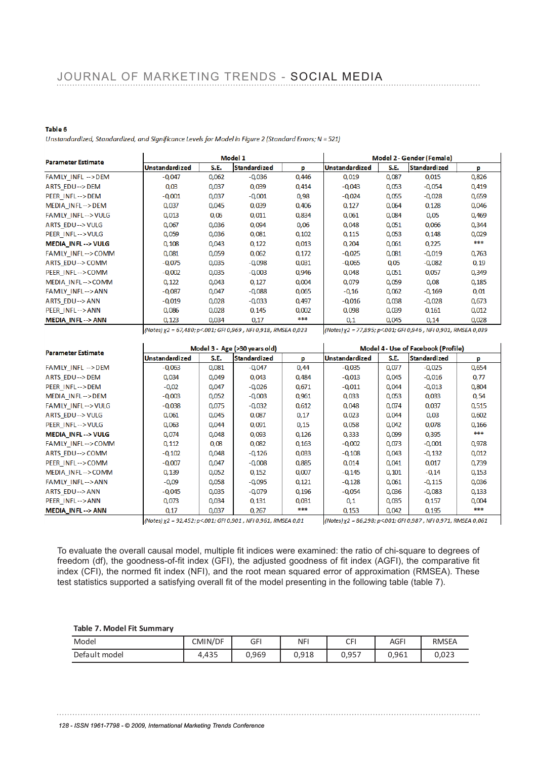#### Table 6

Unstandardized, Standardized, and Significance Levels for Model in Figure 2 (Standard Errors; N = 521)

| <b>Parameter Estimate</b>    |                                                                |       | Model 1             |       |                                                                | Model 2 - Gender (Female) |                     |       |  |  |
|------------------------------|----------------------------------------------------------------|-------|---------------------|-------|----------------------------------------------------------------|---------------------------|---------------------|-------|--|--|
|                              | Unstandardized                                                 | S.E.  | <b>Standardized</b> | p     | Unstandardized                                                 | S.E.                      | <b>Standardized</b> | p     |  |  |
| FAMILY INFL -->DEM           | $-0.047$                                                       | 0,062 | $-0,036$            | 0,446 | 0,019                                                          | 0,087                     | 0,015               | 0,826 |  |  |
| ARTS EDU-->DEM               | 0,03                                                           | 0,037 | 0,039               | 0,414 | $-0,043$                                                       | 0,053                     | $-0,054$            | 0,419 |  |  |
| PEER INFL-->DEM              | $-0.001$                                                       | 0.037 | $-0.001$            | 0,98  | $-0.024$                                                       | 0.055                     | $-0.028$            | 0,659 |  |  |
| MEDIA INFL->DEM              | 0,037                                                          | 0,045 | 0,039               | 0,406 | 0,127                                                          | 0,064                     | 0,128               | 0,046 |  |  |
| <b>FAMILY INFL--&gt;VULG</b> | 0,013                                                          | 0,06  | 0,011               | 0.834 | 0,061                                                          | 0,084                     | 0.05                | 0,469 |  |  |
| ARTS EDU--> VULG             | 0,067                                                          | 0,036 | 0,094               | 0,06  | 0,048                                                          | 0,051                     | 0,066               | 0,344 |  |  |
| PEER INFL-->VULG             | 0,059                                                          | 0,036 | 0,081               | 0,102 | 0,115                                                          | 0,053                     | 0,148               | 0,029 |  |  |
| <b>MEDIA INFL--&gt; VULG</b> | 0,108                                                          | 0,043 | 0,122               | 0,013 | 0,204                                                          | 0,061                     | 0,225               | ***   |  |  |
| <b>FAMILY INFL--&gt;COMM</b> | 0,081                                                          | 0,059 | 0,062               | 0,172 | $-0,025$                                                       | 0,081                     | $-0,019$            | 0,763 |  |  |
| ARTS EDU--> COMM             | $-0.075$                                                       | 0,035 | $-0,098$            | 0,031 | $-0,065$                                                       | 0,05                      | $-0,082$            | 0,19  |  |  |
| PEER INFL-->COMM             | $-0,002$                                                       | 0,035 | $-0,003$            | 0,946 | 0,048                                                          | 0,051                     | 0,057               | 0,349 |  |  |
| MEDIA INFL-->COMM            | 0,122                                                          | 0,043 | 0,127               | 0,004 | 0,079                                                          | 0,059                     | 0,08                | 0,185 |  |  |
| <b>FAMILY INFL--&gt;ANN</b>  | $-0,087$                                                       | 0,047 | $-0,088$            | 0,065 | $-0,16$                                                        | 0,062                     | $-0,169$            | 0,01  |  |  |
| <b>ARTS EDU--&gt; ANN</b>    | $-0.019$                                                       | 0,028 | $-0,033$            | 0.497 | $-0,016$                                                       | 0,038                     | $-0.028$            | 0,673 |  |  |
| PEER INFL-->ANN              | 0,086                                                          | 0,028 | 0,145               | 0,002 | 0,098                                                          | 0,039                     | 0,161               | 0,012 |  |  |
| <b>MEDIA INFL--&gt; ANN</b>  | 0,123                                                          | 0,034 | 0,17                | ***   | 0,1                                                            | 0.045                     | 0,14                | 0,028 |  |  |
|                              | (Notes) x2 = 67,480; p<.001; GFI 0,969, NFI 0,918, RMSEA 0,023 |       |                     |       | (Notes)χ2 = 77,895; p<.001; GFI 0,946 , NFI 0,901, RMSEA 0,039 |                           |                     |       |  |  |

| <b>Parameter Estimate</b>    |                       |       | Model 3 - Age (>30 years old) |       | Model 4 - Use of Facebook (Profile) |       |                     |       |  |
|------------------------------|-----------------------|-------|-------------------------------|-------|-------------------------------------|-------|---------------------|-------|--|
|                              | <b>Unstandardized</b> | S.E.  | <b>Standardized</b>           | p     | <b>Unstandardized</b>               | S.E.  | <b>Standardized</b> | p     |  |
| FAMILY INFL -->DEM           | $-0,063$              | 0,081 | $-0,047$                      | 0,44  | $-0.035$                            | 0,077 | $-0.025$            | 0,654 |  |
| ARTS EDU-->DEM               | 0,034                 | 0,049 | 0,043                         | 0,484 | $-0,013$                            | 0,045 | $-0,016$            | 0,77  |  |
| PEER INFL-->DEM              | $-0,02$               | 0,047 | $-0,026$                      | 0,671 | $-0,011$                            | 0.044 | $-0,013$            | 0,804 |  |
| MEDIA INFL-->DEM             | $-0,003$              | 0,052 | $-0,003$                      | 0,961 | 0,033                               | 0,053 | 0,033               | 0,54  |  |
| <b>FAMILY INFL--&gt;VULG</b> | $-0,038$              | 0,075 | $-0,032$                      | 0,612 | 0,048                               | 0.074 | 0,037               | 0,515 |  |
| ARTS EDU--> VULG             | 0,061                 | 0,045 | 0,087                         | 0,17  | 0,023                               | 0,044 | 0,03                | 0,602 |  |
| PEER INFL-->VULG             | 0.063                 | 0.044 | 0.091                         | 0,15  | 0,058                               | 0.042 | 0,078               | 0,166 |  |
| <b>MEDIA_INFL--&gt; VULG</b> | 0,074                 | 0,048 | 0,093                         | 0,126 | 0,333                               | 0,099 | 0,395               | ***   |  |
| <b>FAMILY INFL--&gt;COMM</b> | 0,112                 | 0,08  | 0,082                         | 0,163 | $-0,002$                            | 0,073 | $-0,001$            | 0,978 |  |
| ARTS EDU--> COMM             | $-0,102$              | 0,048 | $-0,126$                      | 0,033 | $-0,108$                            | 0,043 | $-0,132$            | 0,012 |  |
| PEER INFL-->COMM             | $-0,007$              | 0,047 | $-0,008$                      | 0,885 | 0,014                               | 0,041 | 0,017               | 0,739 |  |
| MEDIA INFL-->COMM            | 0,139                 | 0,052 | 0,152                         | 0,007 | $-0,145$                            | 0,101 | $-0,14$             | 0,153 |  |
| <b>FAMILY INFL--&gt;ANN</b>  | $-0,09$               | 0,058 | $-0,095$                      | 0,121 | $-0,128$                            | 0,061 | $-0,115$            | 0,036 |  |
| ARTS EDU--> ANN              | $-0.045$              | 0,035 | $-0.079$                      | 0,196 | $-0.054$                            | 0.036 | $-0,083$            | 0,133 |  |
| PEER INFL-->ANN              | 0,073                 | 0,034 | 0,131                         | 0,031 | 0,1                                 | 0,035 | 0,157               | 0,004 |  |
| <b>MEDIA INFL--&gt; ANN</b>  | 0,17                  | 0.037 | 0,267                         | ***   | 0,153                               | 0.042 | 0,195               | ***   |  |

 $\overline{1}$ 

(Notes) χ2 = 92,452; p<.001; GFI 0,901, NFI 0,961, RMSEA 0,01

(Notes) χ2 = 86,298; p<001; GFI 0,987, NFI 0,971, RMSEA 0,061

 $\overline{\phantom{a}}$ 

To evaluate the overall causal model, multiple fit indices were examined: the ratio of chi-square to degrees of freedom (df), the goodness-of-fit index (GFI), the adjusted goodness of fit index (AGFI), the comparative fit  $i$  is such that, the geodified of its mask (e.g.), the digitation geodified of its index (NCFI), the comparation (RMSEA). These index (NFI), and the root mean squared error of approximation (RMSEA). These test statistics supported a satisfying overall fit of the model presenting in the following table (table 7).

#### **Table 7. Model Fit Summary**

| Model         | CMIN/DF | GFI   | <b>NFI</b> | CFI   | AGF'  | <b>RMSEA</b> |
|---------------|---------|-------|------------|-------|-------|--------------|
| Default model | 4,435   | 0,969 | 0,918      | 0,957 | 0,961 | 0,023        |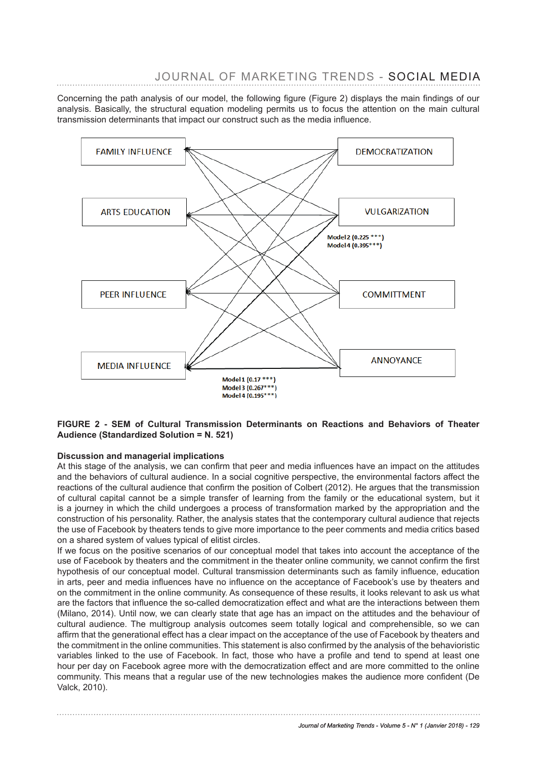Concerning the path analysis of our model, the following figure (Figure 2) displays the main findings of our analysis. Basically, the structural equation modeling permits us to focus the attention on the main cultural transmission determinants that impact our construct such as the media influence.



#### FIGURE 2 - SEM of Cultural Transmission Determinants on Reactions and Behaviors of Theater **Audience (Standardized Solution = N. 521)**

#### **Discussion and managerial implications**

At this stage of the analysis, we can confirm that peer and media influences have an impact on the attitudes and the behaviors of cultural audience. In a social cognitive perspective, the environmental factors affect the reactions of the cultural audience that confirm the position of Colbert (2012). He argues that the transmission of cultural capital cannot be a simple transfer of learning from the family or the educational system, but it is a journey in which the child undergoes a process of transformation marked by the appropriation and the construction of his personality. Rather, the analysis states that the contemporary cultural audience that rejects the use of Facebook by theaters tends to give more importance to the peer comments and media critics based on a shared system of values typical of elitist circles.

If we focus on the positive scenarios of our conceptual model that takes into account the acceptance of the use of Facebook by theaters and the commitment in the theater online community, we cannot confirm the first hypothesis of our conceptual model. Cultural transmission determinants such as family influence, education in arts, peer and media influences have no influence on the acceptance of Facebook's use by theaters and on the commitment in the online community. As consequence of these results, it looks relevant to ask us what are the factors that influence the so-called democratization effect and what are the interactions between them (Milano, 2014). Until now, we can clearly state that age has an impact on the attitudes and the behaviour of cultural audience. The multigroup analysis outcomes seem totally logical and comprehensible, so we can affirm that the generational effect has a clear impact on the acceptance of the use of Facebook by theaters and the commitment in the online communities. This statement is also confirmed by the analysis of the behavioristic variables linked to the use of Facebook. In fact, those who have a profile and tend to spend at least one hour per day on Facebook agree more with the democratization effect and are more committed to the online community. This means that a regular use of the new technologies makes the audience more confident (De Valck, 2010).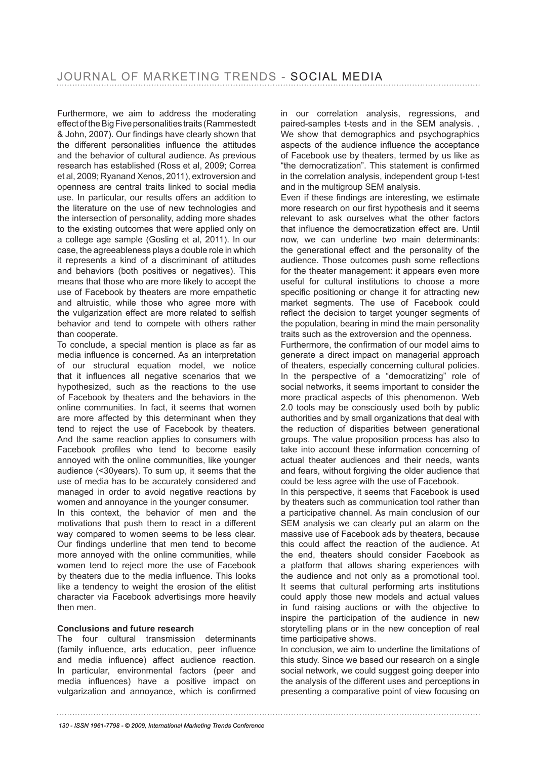Furthermore, we aim to address the moderating effect of the Big Five personalities traits (Rammestedt & John, 2007). Our fndings have clearly shown that the different personalities infuence the attitudes and the behavior of cultural audience. As previous research has established (Ross et al, 2009; Correa et al, 2009; Ryanand Xenos, 2011), extroversion and openness are central traits linked to social media use. In particular, our results offers an addition to the literature on the use of new technologies and the intersection of personality, adding more shades to the existing outcomes that were applied only on a college age sample (Gosling et al, 2011). In our case, the agreeableness plays a double role in which it represents a kind of a discriminant of attitudes and behaviors (both positives or negatives). This means that those who are more likely to accept the use of Facebook by theaters are more empathetic and altruistic, while those who agree more with the vulgarization effect are more related to selfish behavior and tend to compete with others rather than cooperate.

To conclude, a special mention is place as far as media infuence is concerned. As an interpretation of our structural equation model, we notice that it infuences all negative scenarios that we hypothesized, such as the reactions to the use of Facebook by theaters and the behaviors in the online communities. In fact, it seems that women are more affected by this determinant when they tend to reject the use of Facebook by theaters. And the same reaction applies to consumers with Facebook profles who tend to become easily annoyed with the online communities, like younger audience (<30years). To sum up, it seems that the use of media has to be accurately considered and managed in order to avoid negative reactions by women and annoyance in the younger consumer.

In this context, the behavior of men and the motivations that push them to react in a different way compared to women seems to be less clear. Our findings underline that men tend to become more annoyed with the online communities, while women tend to reject more the use of Facebook by theaters due to the media infuence. This looks like a tendency to weight the erosion of the elitist character via Facebook advertisings more heavily then men.

#### **Conclusions and future research**

The four cultural transmission determinants (family infuence, arts education, peer infuence and media infuence) affect audience reaction. In particular, environmental factors (peer and media infuences) have a positive impact on vulgarization and annoyance, which is confrmed in our correlation analysis, regressions, and paired-samples t-tests and in the SEM analysis. , We show that demographics and psychographics aspects of the audience infuence the acceptance of Facebook use by theaters, termed by us like as "the democratization". This statement is confrmed in the correlation analysis, independent group t-test and in the multigroup SEM analysis.

Even if these fndings are interesting, we estimate more research on our first hypothesis and it seems relevant to ask ourselves what the other factors that infuence the democratization effect are. Until now, we can underline two main determinants: the generational effect and the personality of the audience. Those outcomes push some refections for the theater management: it appears even more useful for cultural institutions to choose a more specific positioning or change it for attracting new market segments. The use of Facebook could refect the decision to target younger segments of the population, bearing in mind the main personality traits such as the extroversion and the openness.

Furthermore, the confrmation of our model aims to generate a direct impact on managerial approach of theaters, especially concerning cultural policies. In the perspective of a "democratizing" role of social networks, it seems important to consider the more practical aspects of this phenomenon. Web 2.0 tools may be consciously used both by public authorities and by small organizations that deal with the reduction of disparities between generational groups. The value proposition process has also to take into account these information concerning of actual theater audiences and their needs, wants and fears, without forgiving the older audience that could be less agree with the use of Facebook.

In this perspective, it seems that Facebook is used by theaters such as communication tool rather than a participative channel. As main conclusion of our SEM analysis we can clearly put an alarm on the massive use of Facebook ads by theaters, because this could affect the reaction of the audience. At the end, theaters should consider Facebook as a platform that allows sharing experiences with the audience and not only as a promotional tool. It seems that cultural performing arts institutions could apply those new models and actual values in fund raising auctions or with the objective to inspire the participation of the audience in new storytelling plans or in the new conception of real time participative shows.

In conclusion, we aim to underline the limitations of this study. Since we based our research on a single social network, we could suggest going deeper into the analysis of the different uses and perceptions in presenting a comparative point of view focusing on

*<sup>130 -</sup> ISSN 1961-7798 - © 2009, International Marketing Trends Conference*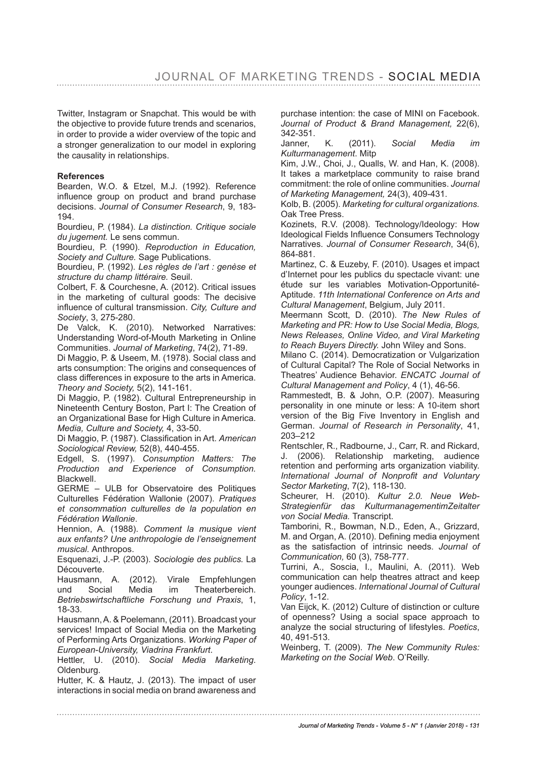Twitter, Instagram or Snapchat. This would be with the objective to provide future trends and scenarios, in order to provide a wider overview of the topic and a stronger generalization to our model in exploring the causality in relationships.

#### **References**

Bearden, W.O. & Etzel, M.J. (1992). Reference infuence group on product and brand purchase decisions. *Journal of Consumer Research*, 9, 183- 194.

Bourdieu, P. (1984). *La distinction. Critique sociale du jugement.* Le sens commun.

Bourdieu, P. (1990). *Reproduction in Education, Society and Culture.* Sage Publications.

Bourdieu, P. (1992). *Les règles de l'art : genèse et structure du champ littéraire.* Seuil.

Colbert, F. & Courchesne, A. (2012). Critical issues in the marketing of cultural goods: The decisive infuence of cultural transmission. *City, Culture and Society*, 3, 275-280.

De Valck, K. (2010). Networked Narratives: Understanding Word-of-Mouth Marketing in Online Communities. *Journal of Marketing*, 74(2), 71-89.

Di Maggio, P. & Useem, M. (1978). Social class and arts consumption: The origins and consequences of class differences in exposure to the arts in America. *Theory and Society,* 5(2), 141-161.

Di Maggio, P. (1982). Cultural Entrepreneurship in Nineteenth Century Boston, Part I: The Creation of an Organizational Base for High Culture in America. *Media, Culture and Society,* 4, 33-50.

Di Maggio, P. (1987). Classifcation in Art. *American Sociological Review,* 52(8), 440-455.

Edgell, S. (1997). *Consumption Matters: The Production and Experience of Consumption.*  Blackwell.

GERME – ULB for Observatoire des Politiques Culturelles Fédération Wallonie (2007). *Pratiques et consommation culturelles de la population en Fédération Wallonie*.

Hennion, A. (1988). *Comment la musique vient aux enfants? Une anthropologie de l'enseignement musical.* Anthropos.

Esquenazi, J.-P. (2003). *Sociologie des publics.* La Découverte.

Hausmann, A. (2012). Virale Empfehlungen und Social Media im Theaterbereich. *Betriebswirtschaftliche Forschung und Praxis*, 1, 18-33.

Hausmann, A. & Poelemann, (2011). Broadcast your services! Impact of Social Media on the Marketing of Performing Arts Organizations. *Working Paper of European-University, Viadrina Frankfurt*.

Hettler, U. (2010). *Social Media Marketing*. Oldenburg.

Hutter, K. & Hautz, J. (2013). The impact of user interactions in social media on brand awareness and purchase intention: the case of MINI on Facebook. *Journal of Product & Brand Management,* 22(6), 342-351.

Janner, K. (2011). *Social Media im Kulturmanagement*. Mitp

Kim, J.W., Choi, J., Qualls, W. and Han, K. (2008). It takes a marketplace community to raise brand commitment: the role of online communities. *Journal of Marketing Management,* 24(3), 409-431.

Kolb, B. (2005). *Marketing for cultural organizations.*  Oak Tree Press.

Kozinets, R.V. (2008). Technology/Ideology: How Ideological Fields Infuence Consumers Technology Narratives. *Journal of Consumer Research*, 34(6), 864-881.

Martinez, C. & Euzeby, F. (2010). Usages et impact d'Internet pour les publics du spectacle vivant: une étude sur les variables Motivation-Opportunité-Aptitude. *11th International Conference on Arts and Cultural Management*, Belgium, July 2011.

Meermann Scott, D. (2010). *The New Rules of Marketing and PR: How to Use Social Media, Blogs, News Releases, Online Video, and Viral Marketing to Reach Buyers Directly.* John Wiley and Sons.

Milano C. (2014). Democratization or Vulgarization of Cultural Capital? The Role of Social Networks in Theatres' Audience Behavior. *ENCATC Journal of Cultural Management and Policy*, 4 (1), 46-56.

Rammestedt, B. & John, O.P. (2007). Measuring personality in one minute or less: A 10-item short version of the Big Five Inventory in English and German. *Journal of Research in Personality*, 41, 203–212

Rentschler, R., Radbourne, J., Carr, R. and Rickard, J. (2006). Relationship marketing, audience retention and performing arts organization viability. *International Journal of Nonproft and Voluntary Sector Marketing*, 7(2), 118-130.

Scheurer, H. (2010). *Kultur 2.0. Neue Web-Strategienfür das KulturmanagementimZeitalter von Social Media.* Transcript.

Tamborini, R., Bowman, N.D., Eden, A., Grizzard, M. and Organ, A. (2010). Defining media enjoyment as the satisfaction of intrinsic needs. *Journal of Communication,* 60 (3), 758-777.

Turrini, A., Soscia, I., Maulini, A. (2011). Web communication can help theatres attract and keep younger audiences. *International Journal of Cultural Policy*, 1-12.

Van Eijck, K. (2012) Culture of distinction or culture of openness? Using a social space approach to analyze the social structuring of lifestyles. *Poetics*, 40, 491-513.

Weinberg, T. (2009). *The New Community Rules: Marketing on the Social Web*. O'Reilly.